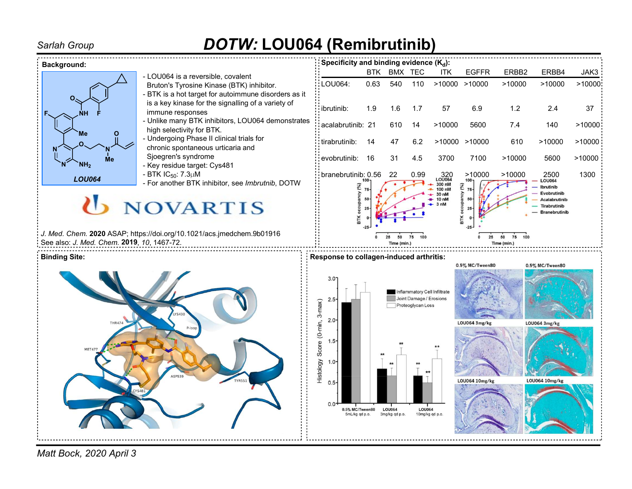# Sarlah Group **DOTW: LOU064 (Remibrutinib)**



Matt Bock, 2020 April 3